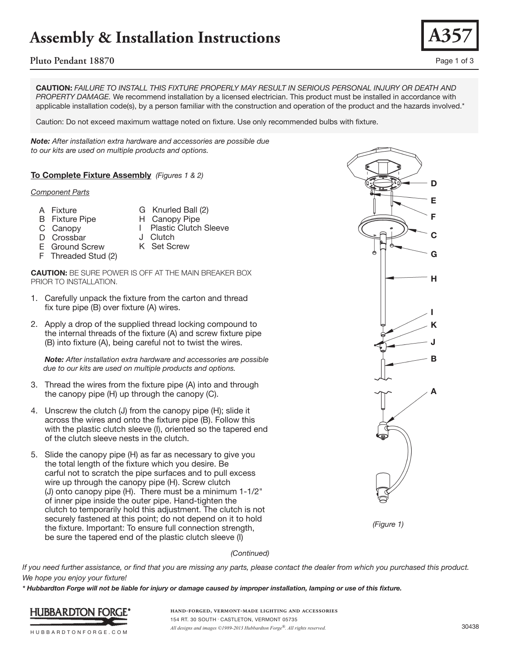# **Assembly & Installation Instructions**

## **Pluto Pendant 18870** Page 1 of 3

**CAUTION:** *FAILURE TO INSTALL THIS FIXTURE PROPERLY MAY RESULT IN SERIOUS PERSONAL INJURY OR DEATH AND PROPERTY DAMAGE.* We recommend installation by a licensed electrician. This product must be installed in accordance with applicable installation code(s), by a person familiar with the construction and operation of the product and the hazards involved.\*

Caution: Do not exceed maximum wattage noted on fixture. Use only recommended bulbs with fixture.

*Note: After installation extra hardware and accessories are possible due to our kits are used on multiple products and options.*

**To Complete Fixture Assembly** *(Figures 1 & 2)*

#### *Component Parts*

- A Fixture
- **<sup>F</sup>** G Knurled Ball (2)
- B Fixture Pipe
- H Canopy Pipe
- C Canopy D Crossbar
- I Plastic Clutch Sleeve
- J Clutch K Set Screw
- E Ground Screw
- F Threaded Stud (2)

**CAUTION:** BE SURE POWER IS OFF AT THE MAIN BREAKER BOX PRIOR TO INSTALLATION.

- 1. Carefully unpack the fixture from the carton and thread fix ture pipe (B) over fixture (A) wires.
- 2. Apply a drop of the supplied thread locking compound to the internal threads of the fixture (A) and screw fixture pipe (B) into fixture (A), being careful not to twist the wires.

 *Note: After installation extra hardware and accessories are possible due to our kits are used on multiple products and options.*

- 3. Thread the wires from the fixture pipe (A) into and through the canopy pipe (H) up through the canopy (C).
- 4. Unscrew the clutch (J) from the canopy pipe (H); slide it across the wires and onto the fixture pipe (B). Follow this with the plastic clutch sleeve (I), oriented so the tapered end of the clutch sleeve nests in the clutch.
- 5. Slide the canopy pipe (H) as far as necessary to give you the total length of the fixture which you desire. Be carful not to scratch the pipe surfaces and to pull excess wire up through the canopy pipe (H). Screw clutch (J) onto canopy pipe (H). There must be a minimum 1-1/2" of inner pipe inside the outer pipe. Hand-tighten the clutch to temporarily hold this adjustment. The clutch is not securely fastened at this point; do not depend on it to hold the fixture. Important: To ensure full connection strength, be sure the tapered end of the plastic clutch sleeve (I)





### *(Continued)*

*If you need further assistance, or find that you are missing any parts, please contact the dealer from which you purchased this product. We hope you enjoy your fixture!* 

*\* Hubbardton Forge will not be liable for injury or damage caused by improper installation, lamping or use of this fixture.*



**hand-forged, vermont-made lighting and accessories** 154 RT. 30 SOUTH • CASTLETON, VERMONT 05735 *All designs and images ©1989-2013 Hubbardton Forge®. All rights reserved.* 30438

**A357**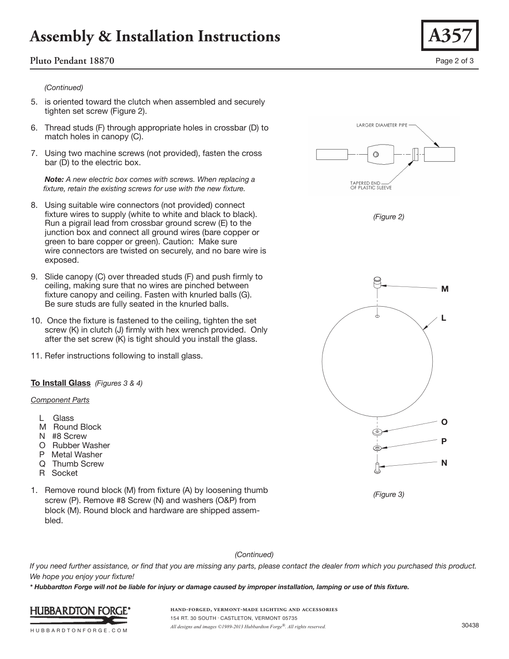# **Assembly & Installation Instructions**

## **Pluto Pendant 18870** Page 2 of 3

### *(Continued)*

- 5. is oriented toward the clutch when assembled and securely tighten set screw (Figure 2).
- 6. Thread studs (F) through appropriate holes in crossbar (D) to match holes in canopy (C).
- 7. Using two machine screws (not provided), fasten the cross bar (D) to the electric box.

 *Note: A new electric box comes with screws. When replacing a fixture, retain the existing screws for use with the new fixture.*

- 8. Using suitable wire connectors (not provided) connect fixture wires to supply (white to white and black to black). Run a pigrail lead from crossbar ground screw (E) to the junction box and connect all ground wires (bare copper or green to bare copper or green). Caution: Make sure wire connectors are twisted on securely, and no bare wire is exposed.
- 9. Slide canopy (C) over threaded studs (F) and push firmly to ceiling, making sure that no wires are pinched between fixture canopy and ceiling. Fasten with knurled balls (G). Be sure studs are fully seated in the knurled balls.
- 10. Once the fixture is fastened to the ceiling, tighten the set screw (K) in clutch (J) firmly with hex wrench provided. Only after the set screw (K) is tight should you install the glass.
- 11. Refer instructions following to install glass.

### **To Install Glass** *(Figures 3 & 4)*

#### *Component Parts*

- L Glass
- M Round Block
- N #8 Screw
- O Rubber Washer
- P Metal Washer
- Q Thumb Screw
- R Socket
- 1. Remove round block (M) from fixture (A) by loosening thumb screw (P). Remove #8 Screw (N) and washers (O&P) from block (M). Round block and hardware are shipped assem bled.



*If you need further assistance, or find that you are missing any parts, please contact the dealer from which you purchased this product. We hope you enjoy your fixture!* 

*\* Hubbardton Forge will not be liable for injury or damage caused by improper installation, lamping or use of this fixture.*

HUBBARDTONFORGE.COM

HUBBARDTON FORGE'

**hand-forged, vermont-made lighting and accessories** 154 RT. 30 SOUTH • CASTLETON, VERMONT 05735 *All designs and images ©1989-2013 Hubbardton Forge®. All rights reserved.* 30438



**O**

**P**

**N**

**M**

**L**



*(Figure 3)*









**A357**